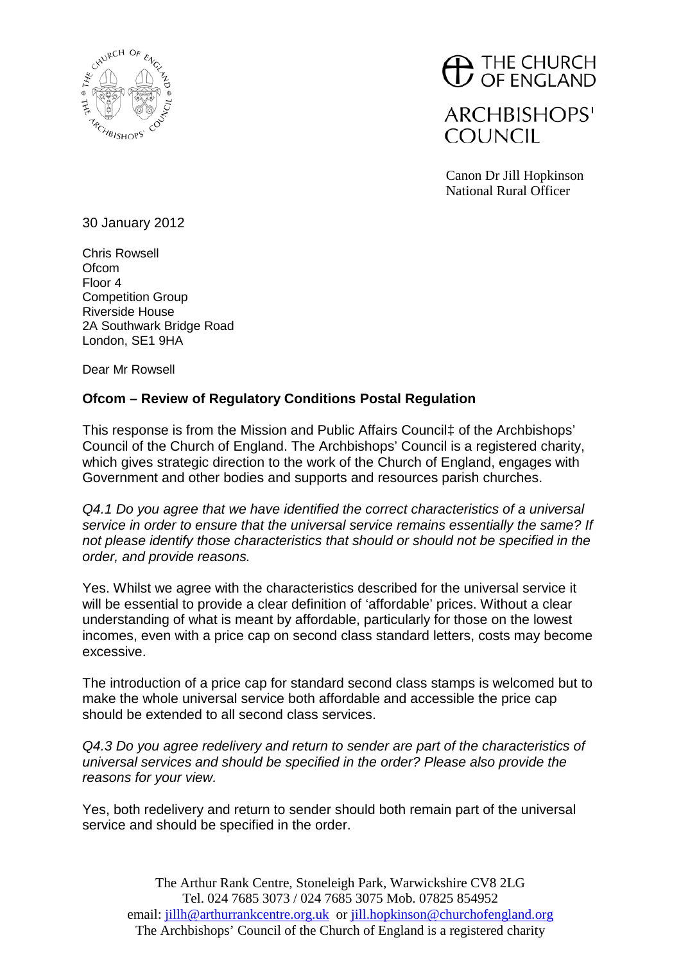

## $\bigoplus$  THE CHURCH

**ARCHBISHOPS' COUNCIL** 

Canon Dr Jill Hopkinson National Rural Officer

30 January 2012

Chris Rowsell **Ofcom** Floor 4 Competition Group Riverside House 2A Southwark Bridge Road London, SE1 9HA

Dear Mr Rowsell

## **Ofcom – Review of Regulatory Conditions Postal Regulation**

This response is from the Mission and Public Affairs Council‡ of the Archbishops' Council of the Church of England. The Archbishops' Council is a registered charity, which gives strategic direction to the work of the Church of England, engages with Government and other bodies and supports and resources parish churches.

*Q4.1 Do you agree that we have identified the correct characteristics of a universal service in order to ensure that the universal service remains essentially the same? If not please identify those characteristics that should or should not be specified in the order, and provide reasons.*

Yes. Whilst we agree with the characteristics described for the universal service it will be essential to provide a clear definition of 'affordable' prices. Without a clear understanding of what is meant by affordable, particularly for those on the lowest incomes, even with a price cap on second class standard letters, costs may become excessive.

The introduction of a price cap for standard second class stamps is welcomed but to make the whole universal service both affordable and accessible the price cap should be extended to all second class services.

*Q4.3 Do you agree redelivery and return to sender are part of the characteristics of universal services and should be specified in the order? Please also provide the reasons for your view.*

Yes, both redelivery and return to sender should both remain part of the universal service and should be specified in the order.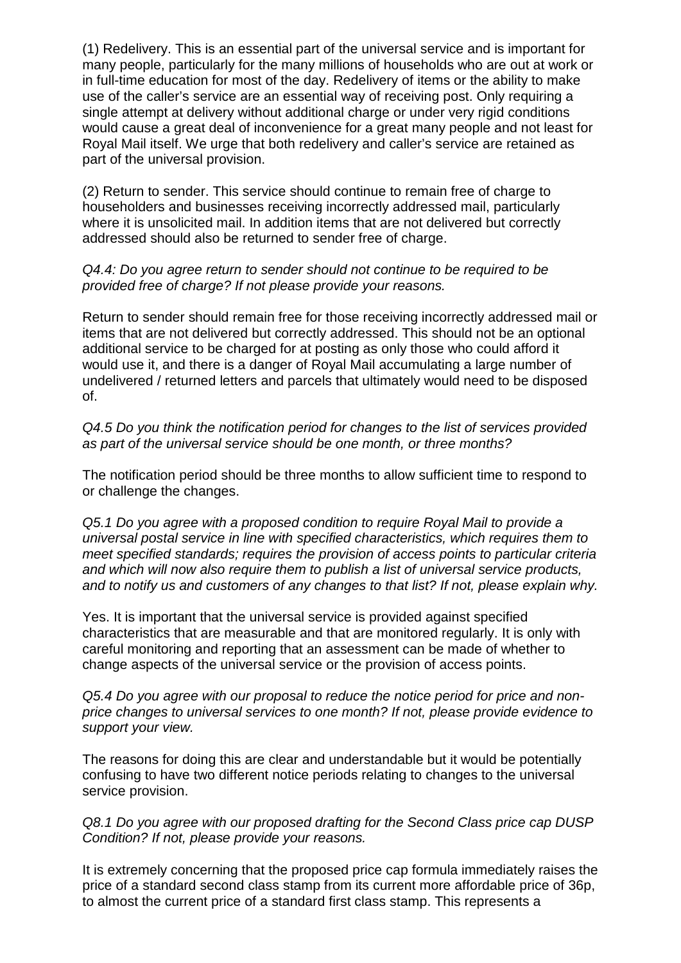(1) Redelivery. This is an essential part of the universal service and is important for many people, particularly for the many millions of households who are out at work or in full-time education for most of the day. Redelivery of items or the ability to make use of the caller's service are an essential way of receiving post. Only requiring a single attempt at delivery without additional charge or under very rigid conditions would cause a great deal of inconvenience for a great many people and not least for Royal Mail itself. We urge that both redelivery and caller's service are retained as part of the universal provision.

(2) Return to sender. This service should continue to remain free of charge to householders and businesses receiving incorrectly addressed mail, particularly where it is unsolicited mail. In addition items that are not delivered but correctly addressed should also be returned to sender free of charge.

## *Q4.4: Do you agree return to sender should not continue to be required to be provided free of charge? If not please provide your reasons.*

Return to sender should remain free for those receiving incorrectly addressed mail or items that are not delivered but correctly addressed. This should not be an optional additional service to be charged for at posting as only those who could afford it would use it, and there is a danger of Royal Mail accumulating a large number of undelivered / returned letters and parcels that ultimately would need to be disposed of.

*Q4.5 Do you think the notification period for changes to the list of services provided as part of the universal service should be one month, or three months?*

The notification period should be three months to allow sufficient time to respond to or challenge the changes.

*Q5.1 Do you agree with a proposed condition to require Royal Mail to provide a universal postal service in line with specified characteristics, which requires them to meet specified standards; requires the provision of access points to particular criteria and which will now also require them to publish a list of universal service products, and to notify us and customers of any changes to that list? If not, please explain why.*

Yes. It is important that the universal service is provided against specified characteristics that are measurable and that are monitored regularly. It is only with careful monitoring and reporting that an assessment can be made of whether to change aspects of the universal service or the provision of access points.

*Q5.4 Do you agree with our proposal to reduce the notice period for price and nonprice changes to universal services to one month? If not, please provide evidence to support your view.*

The reasons for doing this are clear and understandable but it would be potentially confusing to have two different notice periods relating to changes to the universal service provision.

*Q8.1 Do you agree with our proposed drafting for the Second Class price cap DUSP Condition? If not, please provide your reasons.*

It is extremely concerning that the proposed price cap formula immediately raises the price of a standard second class stamp from its current more affordable price of 36p, to almost the current price of a standard first class stamp. This represents a